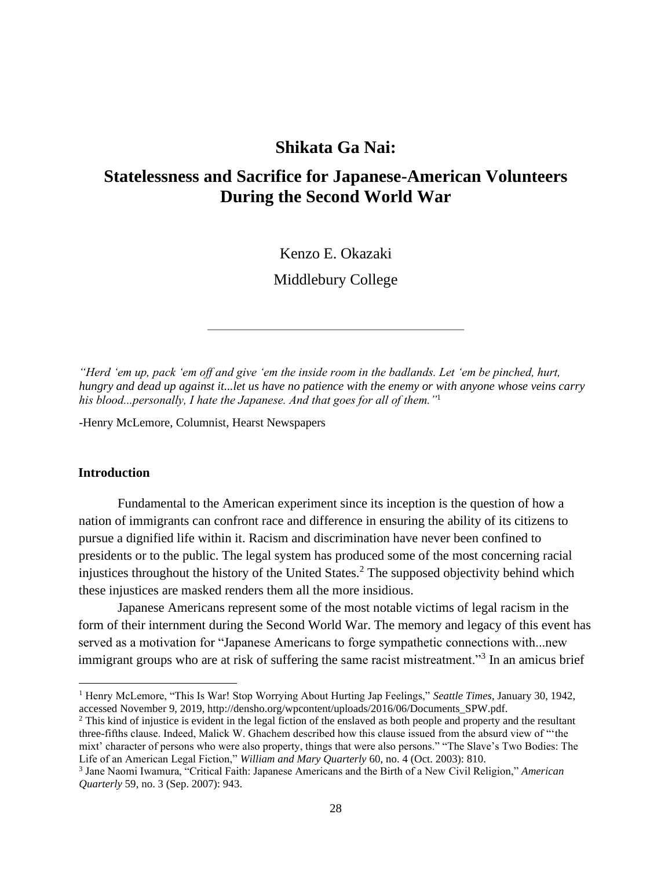# **Shikata Ga Nai:**

# **Statelessness and Sacrifice for Japanese-American Volunteers During the Second World War**

Kenzo E. Okazaki

Middlebury College

*"Herd 'em up, pack 'em off and give 'em the inside room in the badlands. Let 'em be pinched, hurt, hungry and dead up against it...let us have no patience with the enemy or with anyone whose veins carry his blood...personally, I hate the Japanese. And that goes for all of them."*<sup>1</sup>

-Henry McLemore, Columnist, Hearst Newspapers

## **Introduction**

Fundamental to the American experiment since its inception is the question of how a nation of immigrants can confront race and difference in ensuring the ability of its citizens to pursue a dignified life within it. Racism and discrimination have never been confined to presidents or to the public. The legal system has produced some of the most concerning racial injustices throughout the history of the United States.<sup>2</sup> The supposed objectivity behind which these injustices are masked renders them all the more insidious.

Japanese Americans represent some of the most notable victims of legal racism in the form of their internment during the Second World War. The memory and legacy of this event has served as a motivation for "Japanese Americans to forge sympathetic connections with...new immigrant groups who are at risk of suffering the same racist mistreatment."<sup>3</sup> In an amicus brief

<sup>1</sup> Henry McLemore, "This Is War! Stop Worrying About Hurting Jap Feelings," *Seattle Times*, January 30, 1942, accessed November 9, 2019, http://densho.org/wpcontent/uploads/2016/06/Documents\_SPW.pdf.

<sup>2</sup> This kind of injustice is evident in the legal fiction of the enslaved as both people and property and the resultant three-fifths clause. Indeed, Malick W. Ghachem described how this clause issued from the absurd view of "'the mixt' character of persons who were also property, things that were also persons." "The Slave's Two Bodies: The Life of an American Legal Fiction," *William and Mary Quarterly* 60, no. 4 (Oct. 2003): 810.

<sup>3</sup> Jane Naomi Iwamura, "Critical Faith: Japanese Americans and the Birth of a New Civil Religion," *American Quarterly* 59, no. 3 (Sep. 2007): 943.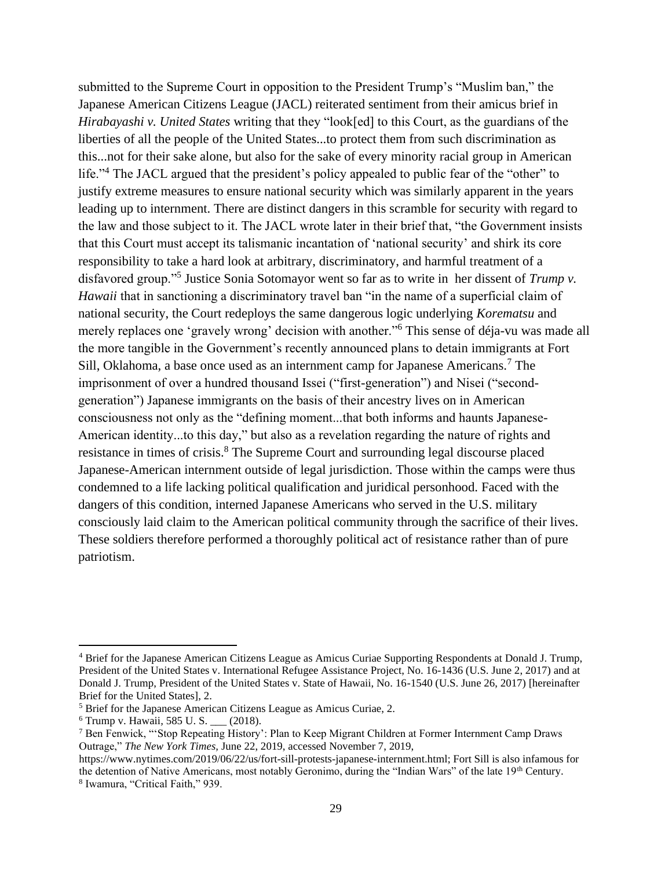submitted to the Supreme Court in opposition to the President Trump's "Muslim ban," the Japanese American Citizens League (JACL) reiterated sentiment from their amicus brief in *Hirabayashi v. United States* writing that they "look[ed] to this Court, as the guardians of the liberties of all the people of the United States...to protect them from such discrimination as this...not for their sake alone, but also for the sake of every minority racial group in American life."<sup>4</sup> The JACL argued that the president's policy appealed to public fear of the "other" to justify extreme measures to ensure national security which was similarly apparent in the years leading up to internment. There are distinct dangers in this scramble for security with regard to the law and those subject to it. The JACL wrote later in their brief that, "the Government insists that this Court must accept its talismanic incantation of 'national security' and shirk its core responsibility to take a hard look at arbitrary, discriminatory, and harmful treatment of a disfavored group."<sup>5</sup> Justice Sonia Sotomayor went so far as to write in her dissent of *Trump v. Hawaii* that in sanctioning a discriminatory travel ban "in the name of a superficial claim of national security, the Court redeploys the same dangerous logic underlying *Korematsu* and merely replaces one 'gravely wrong' decision with another."<sup>6</sup> This sense of déja-vu was made all the more tangible in the Government's recently announced plans to detain immigrants at Fort Sill, Oklahoma, a base once used as an internment camp for Japanese Americans.<sup>7</sup> The imprisonment of over a hundred thousand Issei ("first-generation") and Nisei ("secondgeneration") Japanese immigrants on the basis of their ancestry lives on in American consciousness not only as the "defining moment...that both informs and haunts Japanese-American identity...to this day," but also as a revelation regarding the nature of rights and resistance in times of crisis.<sup>8</sup> The Supreme Court and surrounding legal discourse placed Japanese-American internment outside of legal jurisdiction. Those within the camps were thus condemned to a life lacking political qualification and juridical personhood. Faced with the dangers of this condition, interned Japanese Americans who served in the U.S. military consciously laid claim to the American political community through the sacrifice of their lives. These soldiers therefore performed a thoroughly political act of resistance rather than of pure patriotism.

<sup>4</sup> Brief for the Japanese American Citizens League as Amicus Curiae Supporting Respondents at Donald J. Trump, President of the United States v. International Refugee Assistance Project, No. 16-1436 (U.S. June 2, 2017) and at Donald J. Trump, President of the United States v. State of Hawaii, No. 16-1540 (U.S. June 26, 2017) [hereinafter Brief for the United States], 2.

<sup>5</sup> Brief for the Japanese American Citizens League as Amicus Curiae, 2.

<sup>6</sup> Trump v. Hawaii*,* 585 U. S. \_\_\_ (2018).

<sup>7</sup> Ben Fenwick, "'Stop Repeating History': Plan to Keep Migrant Children at Former Internment Camp Draws Outrage," *The New York Times,* June 22, 2019, accessed November 7, 2019,

https://www.nytimes.com/2019/06/22/us/fort-sill-protests-japanese-internment.html; Fort Sill is also infamous for the detention of Native Americans, most notably Geronimo, during the "Indian Wars" of the late 19th Century. 8 Iwamura, "Critical Faith," 939.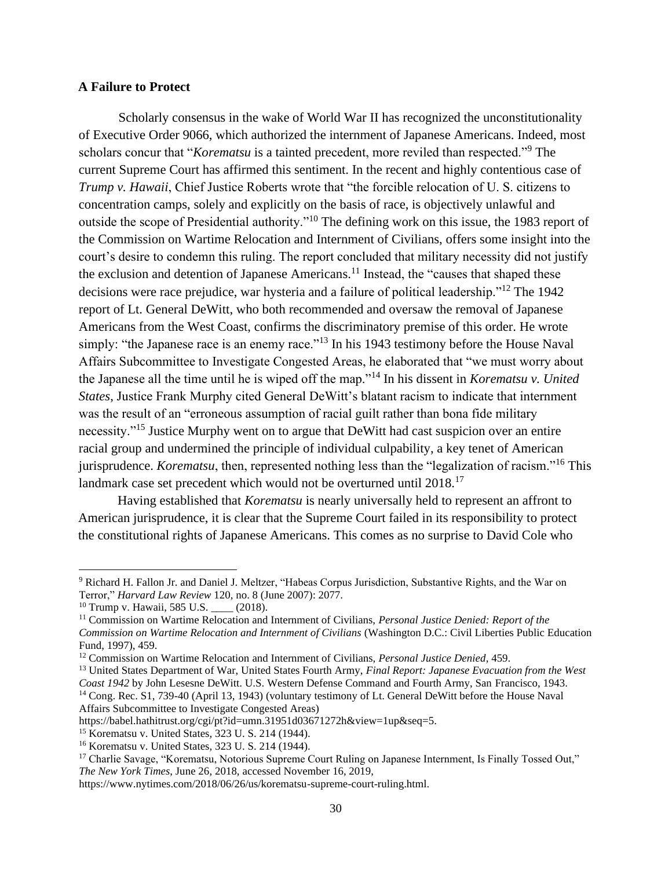### **A Failure to Protect**

Scholarly consensus in the wake of World War II has recognized the unconstitutionality of Executive Order 9066, which authorized the internment of Japanese Americans. Indeed, most scholars concur that "*Korematsu* is a tainted precedent, more reviled than respected."<sup>9</sup> The current Supreme Court has affirmed this sentiment. In the recent and highly contentious case of *Trump v. Hawaii*, Chief Justice Roberts wrote that "the forcible relocation of U. S. citizens to concentration camps, solely and explicitly on the basis of race, is objectively unlawful and outside the scope of Presidential authority."<sup>10</sup> The defining work on this issue, the 1983 report of the Commission on Wartime Relocation and Internment of Civilians, offers some insight into the court's desire to condemn this ruling. The report concluded that military necessity did not justify the exclusion and detention of Japanese Americans.<sup>11</sup> Instead, the "causes that shaped these decisions were race prejudice, war hysteria and a failure of political leadership."<sup>12</sup> The 1942 report of Lt. General DeWitt, who both recommended and oversaw the removal of Japanese Americans from the West Coast, confirms the discriminatory premise of this order. He wrote simply: "the Japanese race is an enemy race."<sup>13</sup> In his 1943 testimony before the House Naval Affairs Subcommittee to Investigate Congested Areas, he elaborated that "we must worry about the Japanese all the time until he is wiped off the map."<sup>14</sup> In his dissent in *Korematsu v. United States*, Justice Frank Murphy cited General DeWitt's blatant racism to indicate that internment was the result of an "erroneous assumption of racial guilt rather than bona fide military necessity."<sup>15</sup> Justice Murphy went on to argue that DeWitt had cast suspicion over an entire racial group and undermined the principle of individual culpability, a key tenet of American jurisprudence. *Korematsu*, then, represented nothing less than the "legalization of racism."<sup>16</sup> This landmark case set precedent which would not be overturned until 2018.<sup>17</sup>

Having established that *Korematsu* is nearly universally held to represent an affront to American jurisprudence, it is clear that the Supreme Court failed in its responsibility to protect the constitutional rights of Japanese Americans. This comes as no surprise to David Cole who

<sup>13</sup> United States Department of War, United States Fourth Army, *Final Report: Japanese Evacuation from the West Coast 1942* by John Lesesne DeWitt. U.S. Western Defense Command and Fourth Army, San Francisco, 1943.

<sup>14</sup> Cong. Rec. S1, 739-40 (April 13, 1943) (voluntary testimony of Lt. General DeWitt before the House Naval Affairs Subcommittee to Investigate Congested Areas)

<sup>9</sup> Richard H. Fallon Jr. and Daniel J. Meltzer, "Habeas Corpus Jurisdiction, Substantive Rights, and the War on Terror," *Harvard Law Review* 120, no. 8 (June 2007): 2077.

<sup>&</sup>lt;sup>10</sup> Trump v. Hawaii, 585 U.S. \_\_\_\_ (2018).

<sup>11</sup> Commission on Wartime Relocation and Internment of Civilians, *Personal Justice Denied: Report of the Commission on Wartime Relocation and Internment of Civilians* (Washington D.C.: Civil Liberties Public Education Fund, 1997), 459.

<sup>12</sup> Commission on Wartime Relocation and Internment of Civilians, *Personal Justice Denied*, 459.

https://babel.hathitrust.org/cgi/pt?id=umn.31951d03671272h&view=1up&seq=5.

<sup>15</sup> Korematsu v. United States*,* 323 U. S. 214 (1944).

<sup>16</sup> Korematsu v. United States*,* 323 U. S. 214 (1944).

<sup>&</sup>lt;sup>17</sup> Charlie Savage, "Korematsu, Notorious Supreme Court Ruling on Japanese Internment, Is Finally Tossed Out," *The New York Times*, June 26, 2018, accessed November 16, 2019,

https://www.nytimes.com/2018/06/26/us/korematsu-supreme-court-ruling.html.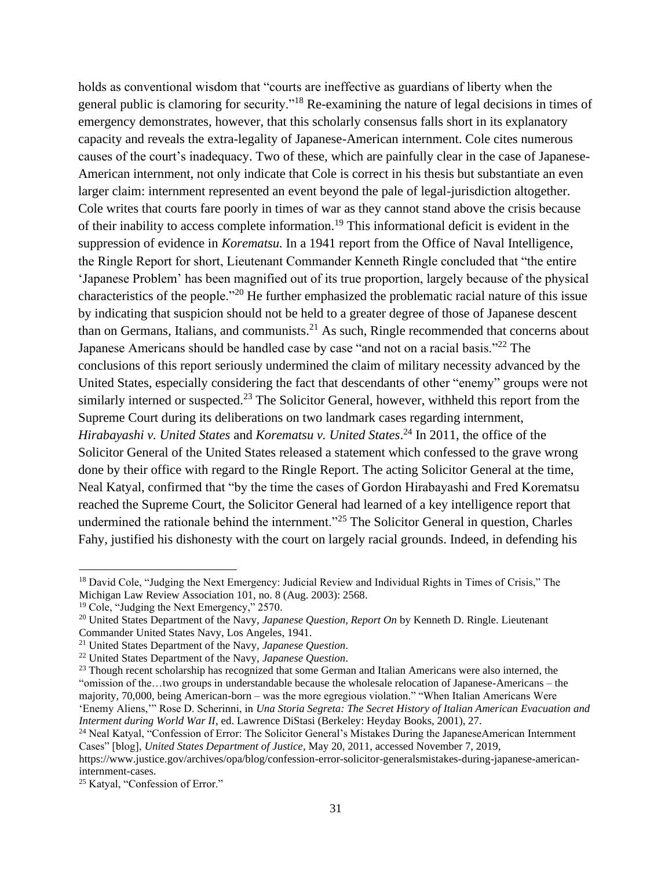holds as conventional wisdom that "courts are ineffective as guardians of liberty when the general public is clamoring for security."<sup>18</sup> Re-examining the nature of legal decisions in times of emergency demonstrates, however, that this scholarly consensus falls short in its explanatory capacity and reveals the extra-legality of Japanese-American internment. Cole cites numerous causes of the court's inadequacy. Two of these, which are painfully clear in the case of Japanese-American internment, not only indicate that Cole is correct in his thesis but substantiate an even larger claim: internment represented an event beyond the pale of legal-jurisdiction altogether. Cole writes that courts fare poorly in times of war as they cannot stand above the crisis because of their inability to access complete information.<sup>19</sup> This informational deficit is evident in the suppression of evidence in *Korematsu.* In a 1941 report from the Office of Naval Intelligence, the Ringle Report for short, Lieutenant Commander Kenneth Ringle concluded that "the entire 'Japanese Problem' has been magnified out of its true proportion, largely because of the physical characteristics of the people."<sup>20</sup> He further emphasized the problematic racial nature of this issue by indicating that suspicion should not be held to a greater degree of those of Japanese descent than on Germans, Italians, and communists. $2<sup>1</sup>$  As such, Ringle recommended that concerns about Japanese Americans should be handled case by case "and not on a racial basis."<sup>22</sup> The conclusions of this report seriously undermined the claim of military necessity advanced by the United States, especially considering the fact that descendants of other "enemy" groups were not similarly interned or suspected.<sup>23</sup> The Solicitor General, however, withheld this report from the Supreme Court during its deliberations on two landmark cases regarding internment, *Hirabayashi v. United States* and *Korematsu v. United States*. <sup>24</sup> In 2011, the office of the Solicitor General of the United States released a statement which confessed to the grave wrong done by their office with regard to the Ringle Report. The acting Solicitor General at the time, Neal Katyal, confirmed that "by the time the cases of Gordon Hirabayashi and Fred Korematsu reached the Supreme Court, the Solicitor General had learned of a key intelligence report that undermined the rationale behind the internment."<sup>25</sup> The Solicitor General in question, Charles Fahy, justified his dishonesty with the court on largely racial grounds. Indeed, in defending his

<sup>&</sup>lt;sup>18</sup> David Cole, "Judging the Next Emergency: Judicial Review and Individual Rights in Times of Crisis," The Michigan Law Review Association 101, no. 8 (Aug. 2003): 2568.

<sup>&</sup>lt;sup>19</sup> Cole, "Judging the Next Emergency," 2570.

<sup>20</sup> United States Department of the Navy, *Japanese Question, Report On* by Kenneth D. Ringle. Lieutenant Commander United States Navy, Los Angeles, 1941.

<sup>21</sup> United States Department of the Navy, *Japanese Question*.

<sup>22</sup> United States Department of the Navy, *Japanese Question*.

<sup>&</sup>lt;sup>23</sup> Though recent scholarship has recognized that some German and Italian Americans were also interned, the "omission of the…two groups in understandable because the wholesale relocation of Japanese-Americans – the majority, 70,000, being American-born – was the more egregious violation." "When Italian Americans Were 'Enemy Aliens,'" Rose D. Scherinni, in *Una Storia Segreta: The Secret History of Italian American Evacuation and Interment during World War II*, ed. Lawrence DiStasi (Berkeley: Heyday Books, 2001), 27.

<sup>&</sup>lt;sup>24</sup> Neal Katyal, "Confession of Error: The Solicitor General's Mistakes During the JapaneseAmerican Internment Cases" [blog], *United States Department of Justice*, May 20, 2011, accessed November 7, 2019,

https://www.justice.gov/archives/opa/blog/confession-error-solicitor-generalsmistakes-during-japanese-americaninternment-cases.

<sup>&</sup>lt;sup>25</sup> Katyal, "Confession of Error."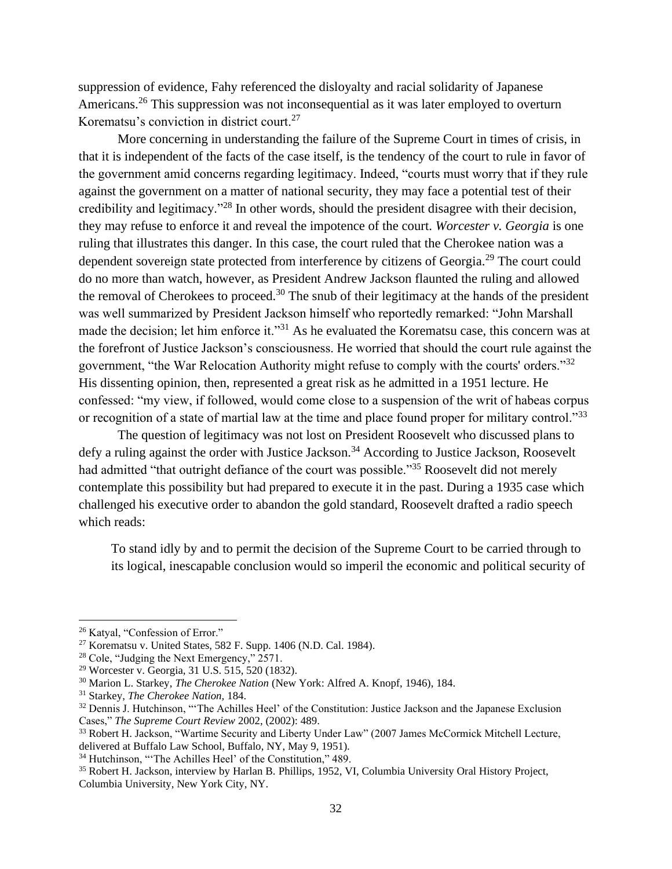suppression of evidence, Fahy referenced the disloyalty and racial solidarity of Japanese Americans.<sup>26</sup> This suppression was not inconsequential as it was later employed to overturn Korematsu's conviction in district court.<sup>27</sup>

More concerning in understanding the failure of the Supreme Court in times of crisis, in that it is independent of the facts of the case itself, is the tendency of the court to rule in favor of the government amid concerns regarding legitimacy. Indeed, "courts must worry that if they rule against the government on a matter of national security, they may face a potential test of their credibility and legitimacy."<sup>28</sup> In other words, should the president disagree with their decision, they may refuse to enforce it and reveal the impotence of the court. *Worcester v. Georgia* is one ruling that illustrates this danger. In this case, the court ruled that the Cherokee nation was a dependent sovereign state protected from interference by citizens of Georgia.<sup>29</sup> The court could do no more than watch, however, as President Andrew Jackson flaunted the ruling and allowed the removal of Cherokees to proceed.<sup>30</sup> The snub of their legitimacy at the hands of the president was well summarized by President Jackson himself who reportedly remarked: "John Marshall made the decision; let him enforce it."<sup>31</sup> As he evaluated the Korematsu case, this concern was at the forefront of Justice Jackson's consciousness. He worried that should the court rule against the government, "the War Relocation Authority might refuse to comply with the courts' orders."<sup>32</sup> His dissenting opinion, then, represented a great risk as he admitted in a 1951 lecture. He confessed: "my view, if followed, would come close to a suspension of the writ of habeas corpus or recognition of a state of martial law at the time and place found proper for military control."33

The question of legitimacy was not lost on President Roosevelt who discussed plans to defy a ruling against the order with Justice Jackson.<sup>34</sup> According to Justice Jackson, Roosevelt had admitted "that outright defiance of the court was possible."<sup>35</sup> Roosevelt did not merely contemplate this possibility but had prepared to execute it in the past. During a 1935 case which challenged his executive order to abandon the gold standard, Roosevelt drafted a radio speech which reads:

To stand idly by and to permit the decision of the Supreme Court to be carried through to its logical, inescapable conclusion would so imperil the economic and political security of

<sup>26</sup> Katyal, "Confession of Error."

<sup>27</sup> Korematsu v. United States, 582 F. Supp. 1406 (N.D. Cal. 1984).

<sup>28</sup> Cole, "Judging the Next Emergency," 2571.

<sup>29</sup> Worcester v. Georgia, 31 U.S. 515, 520 (1832).

<sup>30</sup> Marion L. Starkey, *The Cherokee Nation* (New York: Alfred A. Knopf, 1946), 184.

<sup>31</sup> Starkey, *The Cherokee Nation,* 184.

<sup>&</sup>lt;sup>32</sup> Dennis J. Hutchinson, "The Achilles Heel' of the Constitution: Justice Jackson and the Japanese Exclusion Cases," *The Supreme Court Review* 2002, (2002): 489.

<sup>&</sup>lt;sup>33</sup> Robert H. Jackson, "Wartime Security and Liberty Under Law" (2007 James McCormick Mitchell Lecture, delivered at Buffalo Law School, Buffalo, NY, May 9, 1951).

<sup>&</sup>lt;sup>34</sup> Hutchinson, "The Achilles Heel' of the Constitution," 489.

<sup>35</sup> Robert H. Jackson, interview by Harlan B. Phillips, 1952, VI, Columbia University Oral History Project, Columbia University, New York City, NY.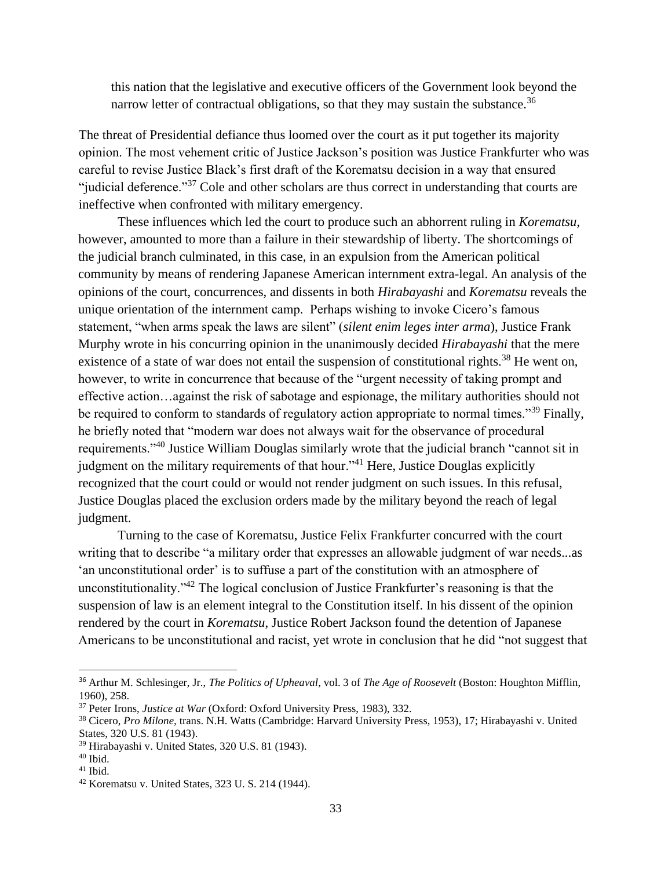this nation that the legislative and executive officers of the Government look beyond the narrow letter of contractual obligations, so that they may sustain the substance.<sup>36</sup>

The threat of Presidential defiance thus loomed over the court as it put together its majority opinion. The most vehement critic of Justice Jackson's position was Justice Frankfurter who was careful to revise Justice Black's first draft of the Korematsu decision in a way that ensured "judicial deference."<sup>37</sup> Cole and other scholars are thus correct in understanding that courts are ineffective when confronted with military emergency.

These influences which led the court to produce such an abhorrent ruling in *Korematsu*, however, amounted to more than a failure in their stewardship of liberty. The shortcomings of the judicial branch culminated, in this case, in an expulsion from the American political community by means of rendering Japanese American internment extra-legal. An analysis of the opinions of the court, concurrences, and dissents in both *Hirabayashi* and *Korematsu* reveals the unique orientation of the internment camp. Perhaps wishing to invoke Cicero's famous statement, "when arms speak the laws are silent" (*silent enim leges inter arma*), Justice Frank Murphy wrote in his concurring opinion in the unanimously decided *Hirabayashi* that the mere existence of a state of war does not entail the suspension of constitutional rights.<sup>38</sup> He went on, however, to write in concurrence that because of the "urgent necessity of taking prompt and effective action…against the risk of sabotage and espionage, the military authorities should not be required to conform to standards of regulatory action appropriate to normal times."<sup>39</sup> Finally, he briefly noted that "modern war does not always wait for the observance of procedural requirements."<sup>40</sup> Justice William Douglas similarly wrote that the judicial branch "cannot sit in judgment on the military requirements of that hour."<sup>41</sup> Here, Justice Douglas explicitly recognized that the court could or would not render judgment on such issues. In this refusal, Justice Douglas placed the exclusion orders made by the military beyond the reach of legal judgment.

Turning to the case of Korematsu, Justice Felix Frankfurter concurred with the court writing that to describe "a military order that expresses an allowable judgment of war needs...as 'an unconstitutional order' is to suffuse a part of the constitution with an atmosphere of unconstitutionality."<sup>42</sup> The logical conclusion of Justice Frankfurter's reasoning is that the suspension of law is an element integral to the Constitution itself. In his dissent of the opinion rendered by the court in *Korematsu*, Justice Robert Jackson found the detention of Japanese Americans to be unconstitutional and racist, yet wrote in conclusion that he did "not suggest that

<sup>36</sup> Arthur M. Schlesinger, Jr., *The Politics of Upheaval*, vol. 3 of *The Age of Roosevelt* (Boston: Houghton Mifflin, 1960), 258.

<sup>37</sup> Peter Irons, *Justice at War* (Oxford: Oxford University Press, 1983), 332.

<sup>38</sup> Cicero, *Pro Milone,* trans. N.H. Watts (Cambridge: Harvard University Press, 1953), 17; Hirabayashi v. United States, 320 U.S. 81 (1943).

<sup>39</sup> Hirabayashi v. United States, 320 U.S. 81 (1943).

 $^{40}$  Ibid.

 $41$  Ibid.

<sup>42</sup> Korematsu v. United States*,* 323 U. S. 214 (1944).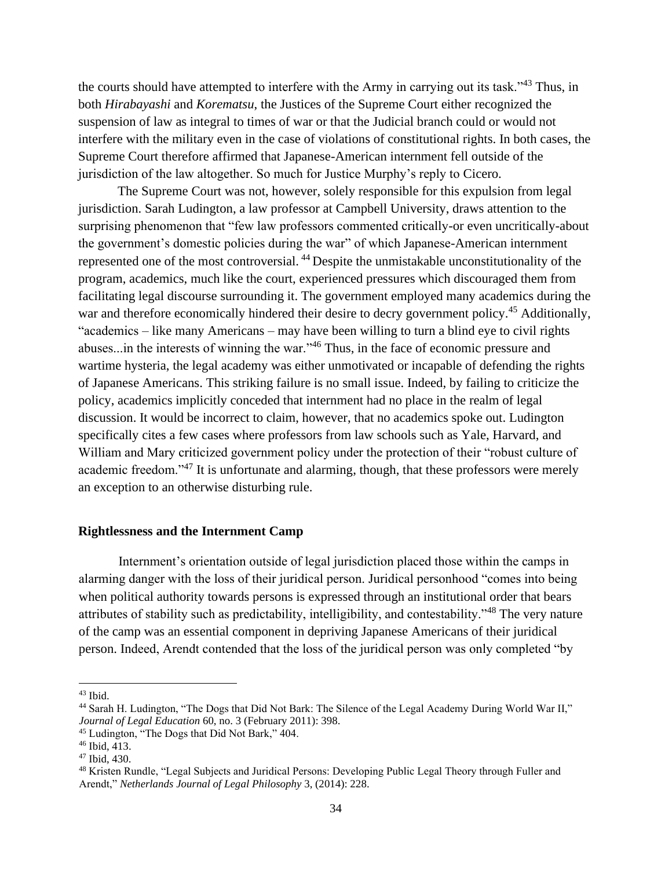the courts should have attempted to interfere with the Army in carrying out its task."<sup>43</sup> Thus, in both *Hirabayashi* and *Korematsu*, the Justices of the Supreme Court either recognized the suspension of law as integral to times of war or that the Judicial branch could or would not interfere with the military even in the case of violations of constitutional rights. In both cases, the Supreme Court therefore affirmed that Japanese-American internment fell outside of the jurisdiction of the law altogether. So much for Justice Murphy's reply to Cicero.

The Supreme Court was not, however, solely responsible for this expulsion from legal jurisdiction. Sarah Ludington, a law professor at Campbell University, draws attention to the surprising phenomenon that "few law professors commented critically-or even uncritically-about the government's domestic policies during the war" of which Japanese-American internment represented one of the most controversial. <sup>44</sup> Despite the unmistakable unconstitutionality of the program, academics, much like the court, experienced pressures which discouraged them from facilitating legal discourse surrounding it. The government employed many academics during the war and therefore economically hindered their desire to decry government policy.<sup>45</sup> Additionally, "academics – like many Americans – may have been willing to turn a blind eye to civil rights abuses...in the interests of winning the war."<sup>46</sup> Thus, in the face of economic pressure and wartime hysteria, the legal academy was either unmotivated or incapable of defending the rights of Japanese Americans. This striking failure is no small issue. Indeed, by failing to criticize the policy, academics implicitly conceded that internment had no place in the realm of legal discussion. It would be incorrect to claim, however, that no academics spoke out. Ludington specifically cites a few cases where professors from law schools such as Yale, Harvard, and William and Mary criticized government policy under the protection of their "robust culture of academic freedom."<sup>47</sup> It is unfortunate and alarming, though, that these professors were merely an exception to an otherwise disturbing rule.

# **Rightlessness and the Internment Camp**

Internment's orientation outside of legal jurisdiction placed those within the camps in alarming danger with the loss of their juridical person. Juridical personhood "comes into being when political authority towards persons is expressed through an institutional order that bears attributes of stability such as predictability, intelligibility, and contestability."<sup>48</sup> The very nature of the camp was an essential component in depriving Japanese Americans of their juridical person. Indeed, Arendt contended that the loss of the juridical person was only completed "by

<sup>43</sup> Ibid.

<sup>44</sup> Sarah H. Ludington, "The Dogs that Did Not Bark: The Silence of the Legal Academy During World War II," *Journal of Legal Education* 60, no. 3 (February 2011): 398.

<sup>45</sup> Ludington, "The Dogs that Did Not Bark," 404.

 $46$  Ibid, 413.

<sup>47</sup> Ibid, 430.

<sup>48</sup> Kristen Rundle, "Legal Subjects and Juridical Persons: Developing Public Legal Theory through Fuller and Arendt," *Netherlands Journal of Legal Philosophy* 3, (2014): 228.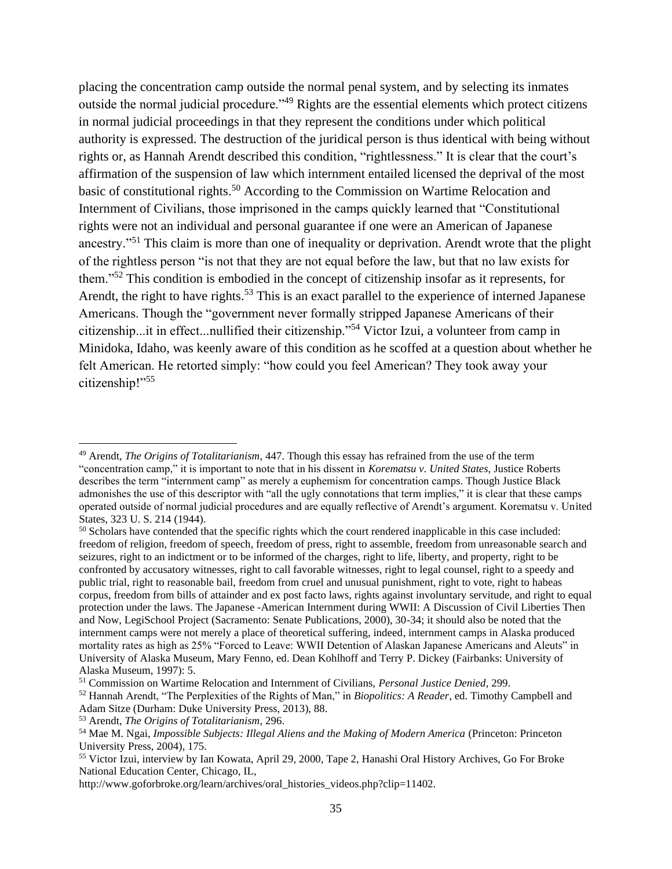placing the concentration camp outside the normal penal system, and by selecting its inmates outside the normal judicial procedure."<sup>49</sup> Rights are the essential elements which protect citizens in normal judicial proceedings in that they represent the conditions under which political authority is expressed. The destruction of the juridical person is thus identical with being without rights or, as Hannah Arendt described this condition, "rightlessness." It is clear that the court's affirmation of the suspension of law which internment entailed licensed the deprival of the most basic of constitutional rights.<sup>50</sup> According to the Commission on Wartime Relocation and Internment of Civilians, those imprisoned in the camps quickly learned that "Constitutional rights were not an individual and personal guarantee if one were an American of Japanese ancestry."<sup>51</sup> This claim is more than one of inequality or deprivation. Arendt wrote that the plight of the rightless person "is not that they are not equal before the law, but that no law exists for them."<sup>52</sup> This condition is embodied in the concept of citizenship insofar as it represents, for Arendt, the right to have rights.<sup>53</sup> This is an exact parallel to the experience of interned Japanese Americans. Though the "government never formally stripped Japanese Americans of their citizenship...it in effect...nullified their citizenship."<sup>54</sup> Victor Izui, a volunteer from camp in Minidoka, Idaho, was keenly aware of this condition as he scoffed at a question about whether he felt American. He retorted simply: "how could you feel American? They took away your citizenship!"<sup>55</sup>

<sup>49</sup> Arendt, *The Origins of Totalitarianism*, 447. Though this essay has refrained from the use of the term "concentration camp," it is important to note that in his dissent in *Korematsu v. United States,* Justice Roberts describes the term "internment camp" as merely a euphemism for concentration camps. Though Justice Black admonishes the use of this descriptor with "all the ugly connotations that term implies," it is clear that these camps operated outside of normal judicial procedures and are equally reflective of Arendt's argument. Korematsu v. United States*,* 323 U. S. 214 (1944).

<sup>&</sup>lt;sup>50</sup> Scholars have contended that the specific rights which the court rendered inapplicable in this case included: freedom of religion, freedom of speech, freedom of press, right to assemble, freedom from unreasonable search and seizures, right to an indictment or to be informed of the charges, right to life, liberty, and property, right to be confronted by accusatory witnesses, right to call favorable witnesses, right to legal counsel, right to a speedy and public trial, right to reasonable bail, freedom from cruel and unusual punishment, right to vote, right to habeas corpus, freedom from bills of attainder and ex post facto laws, rights against involuntary servitude, and right to equal protection under the laws. The Japanese -American Internment during WWII: A Discussion of Civil Liberties Then and Now, LegiSchool Project (Sacramento: Senate Publications, 2000), 30-34; it should also be noted that the internment camps were not merely a place of theoretical suffering, indeed, internment camps in Alaska produced mortality rates as high as 25% "Forced to Leave: WWII Detention of Alaskan Japanese Americans and Aleuts" in University of Alaska Museum, Mary Fenno, ed. Dean Kohlhoff and Terry P. Dickey (Fairbanks: University of Alaska Museum, 1997): 5.

<sup>51</sup> Commission on Wartime Relocation and Internment of Civilians, *Personal Justice Denied*, 299.

<sup>52</sup> Hannah Arendt, "The Perplexities of the Rights of Man," in *Biopolitics: A Reader*, ed. Timothy Campbell and Adam Sitze (Durham: Duke University Press, 2013), 88.

<sup>53</sup> Arendt, *The Origins of Totalitarianism*, 296.

<sup>54</sup> Mae M. Ngai, *Impossible Subjects: Illegal Aliens and the Making of Modern America* (Princeton: Princeton University Press, 2004), 175.

<sup>55</sup> Victor Izui, interview by Ian Kowata, April 29, 2000, Tape 2, Hanashi Oral History Archives, Go For Broke National Education Center, Chicago, IL,

http://www.goforbroke.org/learn/archives/oral\_histories\_videos.php?clip=11402.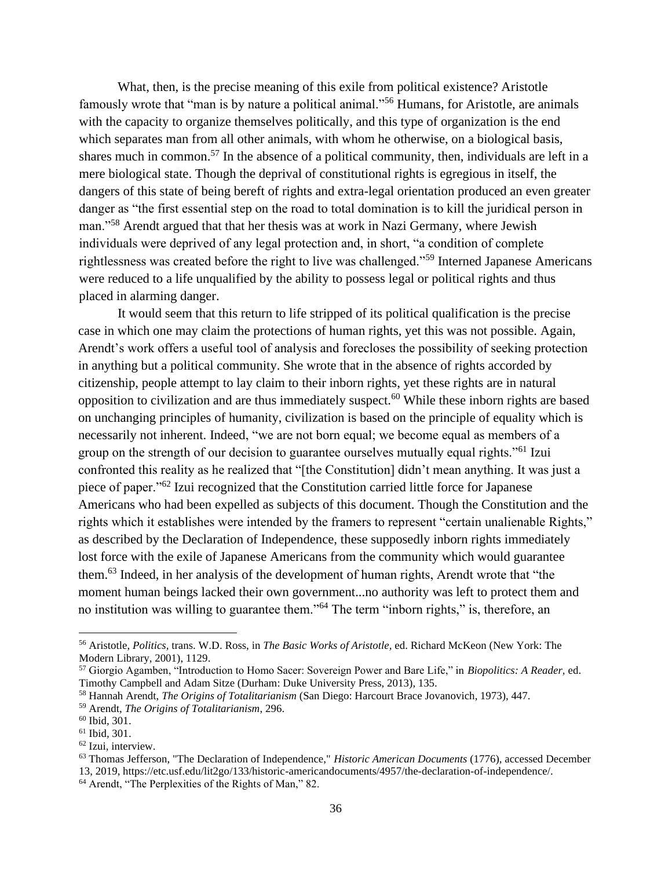What, then, is the precise meaning of this exile from political existence? Aristotle famously wrote that "man is by nature a political animal."<sup>56</sup> Humans, for Aristotle, are animals with the capacity to organize themselves politically, and this type of organization is the end which separates man from all other animals, with whom he otherwise, on a biological basis, shares much in common.<sup>57</sup> In the absence of a political community, then, individuals are left in a mere biological state. Though the deprival of constitutional rights is egregious in itself, the dangers of this state of being bereft of rights and extra-legal orientation produced an even greater danger as "the first essential step on the road to total domination is to kill the juridical person in man."<sup>58</sup> Arendt argued that that her thesis was at work in Nazi Germany, where Jewish individuals were deprived of any legal protection and, in short, "a condition of complete rightlessness was created before the right to live was challenged."<sup>59</sup> Interned Japanese Americans were reduced to a life unqualified by the ability to possess legal or political rights and thus placed in alarming danger.

It would seem that this return to life stripped of its political qualification is the precise case in which one may claim the protections of human rights, yet this was not possible. Again, Arendt's work offers a useful tool of analysis and forecloses the possibility of seeking protection in anything but a political community. She wrote that in the absence of rights accorded by citizenship, people attempt to lay claim to their inborn rights, yet these rights are in natural opposition to civilization and are thus immediately suspect.<sup>60</sup> While these inborn rights are based on unchanging principles of humanity, civilization is based on the principle of equality which is necessarily not inherent. Indeed, "we are not born equal; we become equal as members of a group on the strength of our decision to guarantee ourselves mutually equal rights."<sup>61</sup> Izui confronted this reality as he realized that "[the Constitution] didn't mean anything. It was just a piece of paper."<sup>62</sup> Izui recognized that the Constitution carried little force for Japanese Americans who had been expelled as subjects of this document. Though the Constitution and the rights which it establishes were intended by the framers to represent "certain unalienable Rights," as described by the Declaration of Independence, these supposedly inborn rights immediately lost force with the exile of Japanese Americans from the community which would guarantee them.<sup>63</sup> Indeed, in her analysis of the development of human rights, Arendt wrote that "the moment human beings lacked their own government...no authority was left to protect them and no institution was willing to guarantee them."<sup>64</sup> The term "inborn rights," is, therefore, an

<sup>56</sup> Aristotle, *Politics,* trans. W.D. Ross, in *The Basic Works of Aristotle,* ed. Richard McKeon (New York: The Modern Library, 2001), 1129.

<sup>57</sup> Giorgio Agamben, "Introduction to Homo Sacer: Sovereign Power and Bare Life," in *Biopolitics: A Reader,* ed. Timothy Campbell and Adam Sitze (Durham: Duke University Press, 2013), 135.

<sup>58</sup> Hannah Arendt, *The Origins of Totalitarianism* (San Diego: Harcourt Brace Jovanovich, 1973), 447.

<sup>59</sup> Arendt, *The Origins of Totalitarianism*, 296.

<sup>60</sup> Ibid*,* 301.

<sup>61</sup> Ibid*,* 301.

<sup>62</sup> Izui, interview.

<sup>63</sup> Thomas Jefferson, "The Declaration of Independence," *Historic American Documents* (1776), accessed December 13, 2019, https://etc.usf.edu/lit2go/133/historic-americandocuments/4957/the-declaration-of-independence/. <sup>64</sup> Arendt, "The Perplexities of the Rights of Man," 82.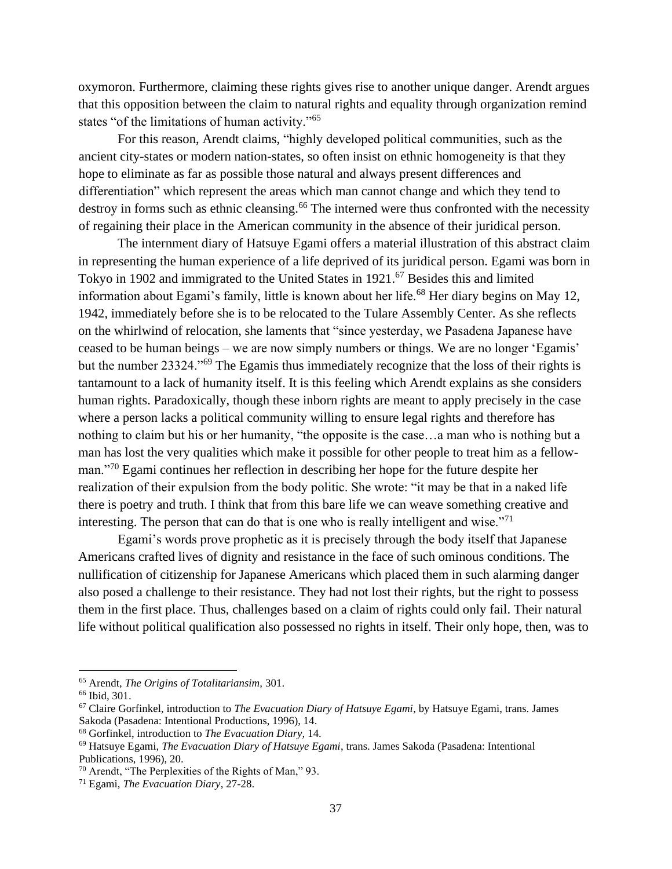oxymoron. Furthermore, claiming these rights gives rise to another unique danger. Arendt argues that this opposition between the claim to natural rights and equality through organization remind states "of the limitations of human activity."<sup>65</sup>

For this reason, Arendt claims, "highly developed political communities, such as the ancient city-states or modern nation-states, so often insist on ethnic homogeneity is that they hope to eliminate as far as possible those natural and always present differences and differentiation" which represent the areas which man cannot change and which they tend to destroy in forms such as ethnic cleansing.<sup>66</sup> The interned were thus confronted with the necessity of regaining their place in the American community in the absence of their juridical person.

The internment diary of Hatsuye Egami offers a material illustration of this abstract claim in representing the human experience of a life deprived of its juridical person. Egami was born in Tokyo in 1902 and immigrated to the United States in 1921.<sup>67</sup> Besides this and limited information about Egami's family, little is known about her life.<sup>68</sup> Her diary begins on May 12, 1942, immediately before she is to be relocated to the Tulare Assembly Center. As she reflects on the whirlwind of relocation, she laments that "since yesterday, we Pasadena Japanese have ceased to be human beings – we are now simply numbers or things. We are no longer 'Egamis' but the number 23324."<sup>69</sup> The Egamis thus immediately recognize that the loss of their rights is tantamount to a lack of humanity itself. It is this feeling which Arendt explains as she considers human rights. Paradoxically, though these inborn rights are meant to apply precisely in the case where a person lacks a political community willing to ensure legal rights and therefore has nothing to claim but his or her humanity, "the opposite is the case…a man who is nothing but a man has lost the very qualities which make it possible for other people to treat him as a fellowman."<sup>70</sup> Egami continues her reflection in describing her hope for the future despite her realization of their expulsion from the body politic. She wrote: "it may be that in a naked life there is poetry and truth. I think that from this bare life we can weave something creative and interesting. The person that can do that is one who is really intelligent and wise. $"^{71}$ 

Egami's words prove prophetic as it is precisely through the body itself that Japanese Americans crafted lives of dignity and resistance in the face of such ominous conditions. The nullification of citizenship for Japanese Americans which placed them in such alarming danger also posed a challenge to their resistance. They had not lost their rights, but the right to possess them in the first place. Thus, challenges based on a claim of rights could only fail. Their natural life without political qualification also possessed no rights in itself. Their only hope, then, was to

<sup>65</sup> Arendt, *The Origins of Totalitariansim,* 301.

<sup>66</sup> Ibid*,* 301.

<sup>67</sup> Claire Gorfinkel, introduction to *The Evacuation Diary of Hatsuye Egami*, by Hatsuye Egami, trans. James Sakoda (Pasadena: Intentional Productions, 1996), 14.

<sup>68</sup> Gorfinkel, introduction to *The Evacuation Diary,* 14.

<sup>69</sup> Hatsuye Egami, *The Evacuation Diary of Hatsuye Egami*, trans. James Sakoda (Pasadena: Intentional Publications, 1996), 20.

<sup>70</sup> Arendt, "The Perplexities of the Rights of Man," 93.

<sup>71</sup> Egami, *The Evacuation Diary*, 27-28.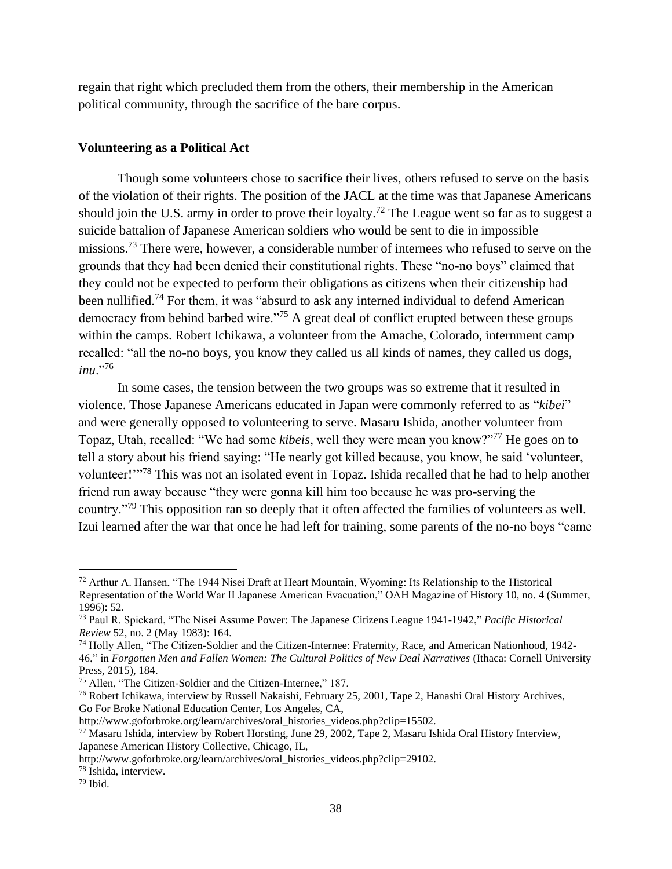regain that right which precluded them from the others, their membership in the American political community, through the sacrifice of the bare corpus.

# **Volunteering as a Political Act**

Though some volunteers chose to sacrifice their lives, others refused to serve on the basis of the violation of their rights. The position of the JACL at the time was that Japanese Americans should join the U.S. army in order to prove their loyalty.<sup>72</sup> The League went so far as to suggest a suicide battalion of Japanese American soldiers who would be sent to die in impossible missions.<sup>73</sup> There were, however, a considerable number of internees who refused to serve on the grounds that they had been denied their constitutional rights. These "no-no boys" claimed that they could not be expected to perform their obligations as citizens when their citizenship had been nullified.<sup>74</sup> For them, it was "absurd to ask any interned individual to defend American democracy from behind barbed wire."<sup>75</sup> A great deal of conflict erupted between these groups within the camps. Robert Ichikawa, a volunteer from the Amache, Colorado, internment camp recalled: "all the no-no boys, you know they called us all kinds of names, they called us dogs, *inu*."<sup>76</sup>

In some cases, the tension between the two groups was so extreme that it resulted in violence. Those Japanese Americans educated in Japan were commonly referred to as "*kibei*" and were generally opposed to volunteering to serve. Masaru Ishida, another volunteer from Topaz, Utah, recalled: "We had some *kibeis*, well they were mean you know?"<sup>77</sup> He goes on to tell a story about his friend saying: "He nearly got killed because, you know, he said 'volunteer, volunteer!"<sup>78</sup> This was not an isolated event in Topaz. Ishida recalled that he had to help another friend run away because "they were gonna kill him too because he was pro-serving the country."<sup>79</sup> This opposition ran so deeply that it often affected the families of volunteers as well. Izui learned after the war that once he had left for training, some parents of the no-no boys "came

<sup>72</sup> Arthur A. Hansen, "The 1944 Nisei Draft at Heart Mountain, Wyoming: Its Relationship to the Historical Representation of the World War II Japanese American Evacuation," OAH Magazine of History 10, no. 4 (Summer, 1996): 52.

<sup>73</sup> Paul R. Spickard, "The Nisei Assume Power: The Japanese Citizens League 1941-1942," *Pacific Historical Review* 52, no. 2 (May 1983): 164.

<sup>74</sup> Holly Allen, "The Citizen-Soldier and the Citizen-Internee: Fraternity, Race, and American Nationhood, 1942- 46," in *Forgotten Men and Fallen Women: The Cultural Politics of New Deal Narratives* (Ithaca: Cornell University Press, 2015), 184.

<sup>75</sup> Allen, "The Citizen-Soldier and the Citizen-Internee," 187.

<sup>76</sup> Robert Ichikawa, interview by Russell Nakaishi, February 25, 2001, Tape 2, Hanashi Oral History Archives, Go For Broke National Education Center, Los Angeles, CA,

http://www.goforbroke.org/learn/archives/oral\_histories\_videos.php?clip=15502.

<sup>77</sup> Masaru Ishida, interview by Robert Horsting, June 29, 2002, Tape 2, Masaru Ishida Oral History Interview, Japanese American History Collective, Chicago, IL,

http://www.goforbroke.org/learn/archives/oral\_histories\_videos.php?clip=29102.

<sup>78</sup> Ishida, interview.

 $79$  Ibid.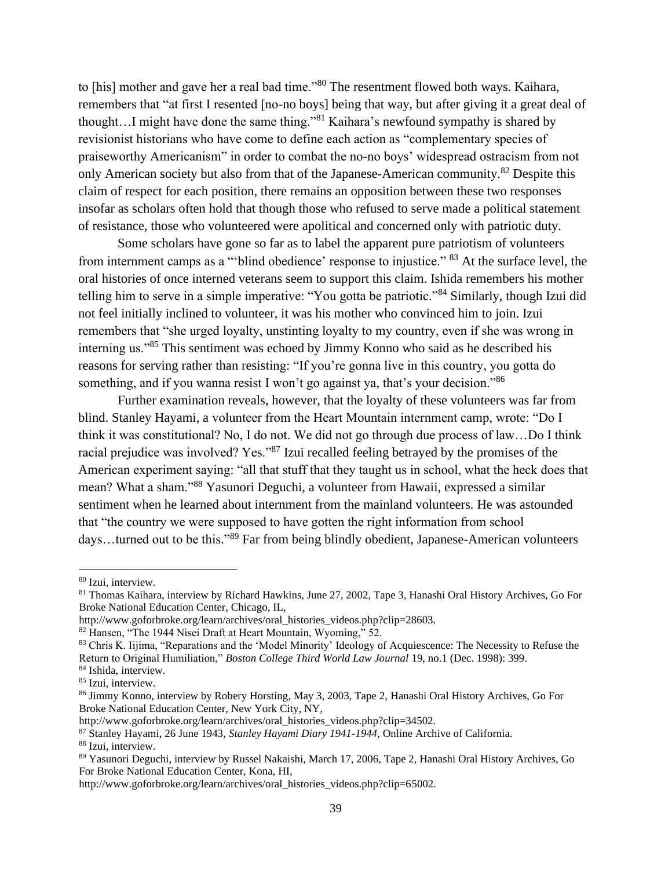to [his] mother and gave her a real bad time."<sup>80</sup> The resentment flowed both ways. Kaihara, remembers that "at first I resented [no-no boys] being that way, but after giving it a great deal of thought…I might have done the same thing."<sup>81</sup> Kaihara's newfound sympathy is shared by revisionist historians who have come to define each action as "complementary species of praiseworthy Americanism" in order to combat the no-no boys' widespread ostracism from not only American society but also from that of the Japanese-American community.<sup>82</sup> Despite this claim of respect for each position, there remains an opposition between these two responses insofar as scholars often hold that though those who refused to serve made a political statement of resistance, those who volunteered were apolitical and concerned only with patriotic duty.

Some scholars have gone so far as to label the apparent pure patriotism of volunteers from internment camps as a "blind obedience' response to injustice." <sup>83</sup> At the surface level, the oral histories of once interned veterans seem to support this claim. Ishida remembers his mother telling him to serve in a simple imperative: "You gotta be patriotic."<sup>84</sup> Similarly, though Izui did not feel initially inclined to volunteer, it was his mother who convinced him to join. Izui remembers that "she urged loyalty, unstinting loyalty to my country, even if she was wrong in interning us."<sup>85</sup> This sentiment was echoed by Jimmy Konno who said as he described his reasons for serving rather than resisting: "If you're gonna live in this country, you gotta do something, and if you wanna resist I won't go against ya, that's your decision."<sup>86</sup>

Further examination reveals, however, that the loyalty of these volunteers was far from blind. Stanley Hayami, a volunteer from the Heart Mountain internment camp, wrote: "Do I think it was constitutional? No, I do not. We did not go through due process of law…Do I think racial prejudice was involved? Yes."<sup>87</sup> Izui recalled feeling betrayed by the promises of the American experiment saying: "all that stuff that they taught us in school, what the heck does that mean? What a sham."<sup>88</sup> Yasunori Deguchi, a volunteer from Hawaii, expressed a similar sentiment when he learned about internment from the mainland volunteers. He was astounded that "the country we were supposed to have gotten the right information from school days...turned out to be this."<sup>89</sup> Far from being blindly obedient, Japanese-American volunteers

<sup>80</sup> Izui, interview.

<sup>81</sup> Thomas Kaihara, interview by Richard Hawkins, June 27, 2002, Tape 3, Hanashi Oral History Archives, Go For Broke National Education Center, Chicago, IL,

http://www.goforbroke.org/learn/archives/oral\_histories\_videos.php?clip=28603.

<sup>82</sup> Hansen, "The 1944 Nisei Draft at Heart Mountain, Wyoming," 52.

<sup>83</sup> Chris K. Iijima, "Reparations and the 'Model Minority' Ideology of Acquiescence: The Necessity to Refuse the Return to Original Humiliation," *Boston College Third World Law Journal* 19, no.1 (Dec. 1998): 399. <sup>84</sup> Ishida, interview.

<sup>&</sup>lt;sup>85</sup> Izui, interview.

<sup>86</sup> Jimmy Konno, interview by Robery Horsting, May 3, 2003, Tape 2, Hanashi Oral History Archives, Go For Broke National Education Center, New York City, NY,

http://www.goforbroke.org/learn/archives/oral\_histories\_videos.php?clip=34502.

<sup>87</sup> Stanley Hayami, 26 June 1943, *Stanley Hayami Diary 1941-1944*, Online Archive of California. <sup>88</sup> Izui, interview.

<sup>89</sup> Yasunori Deguchi, interview by Russel Nakaishi, March 17, 2006, Tape 2, Hanashi Oral History Archives, Go For Broke National Education Center, Kona, HI,

http://www.goforbroke.org/learn/archives/oral\_histories\_videos.php?clip=65002.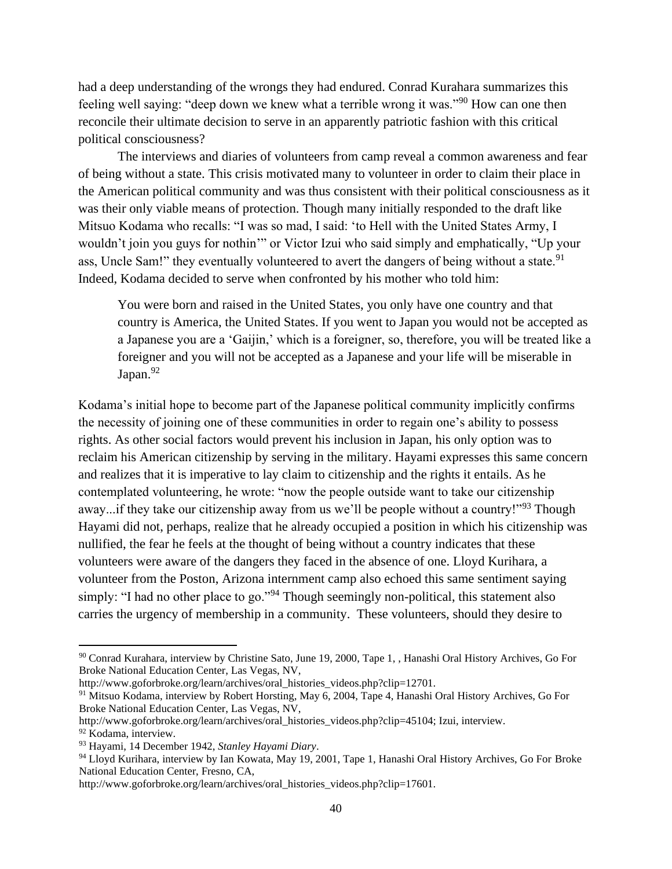had a deep understanding of the wrongs they had endured. Conrad Kurahara summarizes this feeling well saying: "deep down we knew what a terrible wrong it was."<sup>90</sup> How can one then reconcile their ultimate decision to serve in an apparently patriotic fashion with this critical political consciousness?

The interviews and diaries of volunteers from camp reveal a common awareness and fear of being without a state. This crisis motivated many to volunteer in order to claim their place in the American political community and was thus consistent with their political consciousness as it was their only viable means of protection. Though many initially responded to the draft like Mitsuo Kodama who recalls: "I was so mad, I said: 'to Hell with the United States Army, I wouldn't join you guys for nothin'" or Victor Izui who said simply and emphatically, "Up your ass, Uncle Sam!" they eventually volunteered to avert the dangers of being without a state.<sup>91</sup> Indeed, Kodama decided to serve when confronted by his mother who told him:

You were born and raised in the United States, you only have one country and that country is America, the United States. If you went to Japan you would not be accepted as a Japanese you are a 'Gaijin,' which is a foreigner, so, therefore, you will be treated like a foreigner and you will not be accepted as a Japanese and your life will be miserable in Japan.<sup>92</sup>

Kodama's initial hope to become part of the Japanese political community implicitly confirms the necessity of joining one of these communities in order to regain one's ability to possess rights. As other social factors would prevent his inclusion in Japan, his only option was to reclaim his American citizenship by serving in the military. Hayami expresses this same concern and realizes that it is imperative to lay claim to citizenship and the rights it entails. As he contemplated volunteering, he wrote: "now the people outside want to take our citizenship away...if they take our citizenship away from us we'll be people without a country!"<sup>93</sup> Though Hayami did not, perhaps, realize that he already occupied a position in which his citizenship was nullified, the fear he feels at the thought of being without a country indicates that these volunteers were aware of the dangers they faced in the absence of one. Lloyd Kurihara, a volunteer from the Poston, Arizona internment camp also echoed this same sentiment saying simply: "I had no other place to go."<sup>94</sup> Though seemingly non-political, this statement also carries the urgency of membership in a community. These volunteers, should they desire to

<sup>90</sup> Conrad Kurahara, interview by Christine Sato, June 19, 2000, Tape 1, , Hanashi Oral History Archives, Go For Broke National Education Center, Las Vegas, NV,

http://www.goforbroke.org/learn/archives/oral\_histories\_videos.php?clip=12701.

<sup>91</sup> Mitsuo Kodama, interview by Robert Horsting, May 6, 2004, Tape 4, Hanashi Oral History Archives, Go For Broke National Education Center, Las Vegas, NV,

http://www.goforbroke.org/learn/archives/oral\_histories\_videos.php?clip=45104; Izui, interview.

<sup>92</sup> Kodama, interview.

<sup>93</sup> Hayami, 14 December 1942, *Stanley Hayami Diary*.

<sup>&</sup>lt;sup>94</sup> Lloyd Kurihara, interview by Ian Kowata, May 19, 2001, Tape 1, Hanashi Oral History Archives, Go For Broke National Education Center, Fresno, CA,

http://www.goforbroke.org/learn/archives/oral\_histories\_videos.php?clip=17601.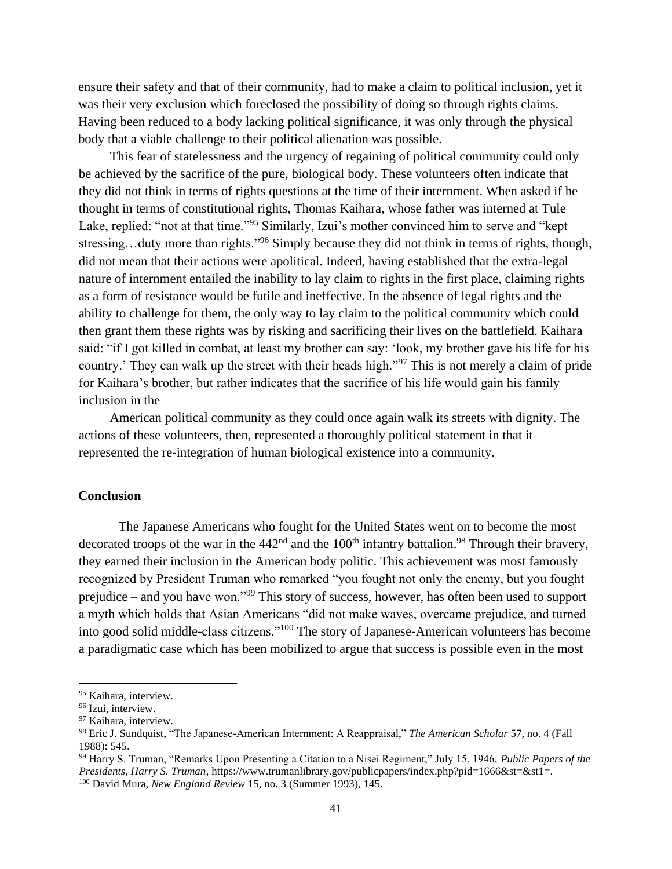ensure their safety and that of their community, had to make a claim to political inclusion, yet it was their very exclusion which foreclosed the possibility of doing so through rights claims. Having been reduced to a body lacking political significance, it was only through the physical body that a viable challenge to their political alienation was possible.

This fear of statelessness and the urgency of regaining of political community could only be achieved by the sacrifice of the pure, biological body. These volunteers often indicate that they did not think in terms of rights questions at the time of their internment. When asked if he thought in terms of constitutional rights, Thomas Kaihara, whose father was interned at Tule Lake, replied: "not at that time."<sup>95</sup> Similarly, Izui's mother convinced him to serve and "kept" stressing...duty more than rights."<sup>96</sup> Simply because they did not think in terms of rights, though, did not mean that their actions were apolitical. Indeed, having established that the extra-legal nature of internment entailed the inability to lay claim to rights in the first place, claiming rights as a form of resistance would be futile and ineffective. In the absence of legal rights and the ability to challenge for them, the only way to lay claim to the political community which could then grant them these rights was by risking and sacrificing their lives on the battlefield. Kaihara said: "if I got killed in combat, at least my brother can say: 'look, my brother gave his life for his country.' They can walk up the street with their heads high."<sup>97</sup> This is not merely a claim of pride for Kaihara's brother, but rather indicates that the sacrifice of his life would gain his family inclusion in the

American political community as they could once again walk its streets with dignity. The actions of these volunteers, then, represented a thoroughly political statement in that it represented the re-integration of human biological existence into a community.

## **Conclusion**

The Japanese Americans who fought for the United States went on to become the most decorated troops of the war in the  $442<sup>nd</sup>$  and the 100<sup>th</sup> infantry battalion.<sup>98</sup> Through their bravery, they earned their inclusion in the American body politic. This achievement was most famously recognized by President Truman who remarked "you fought not only the enemy, but you fought prejudice – and you have won."<sup>99</sup> This story of success, however, has often been used to support a myth which holds that Asian Americans "did not make waves, overcame prejudice, and turned into good solid middle-class citizens."<sup>100</sup> The story of Japanese-American volunteers has become a paradigmatic case which has been mobilized to argue that success is possible even in the most

<sup>99</sup> Harry S. Truman, "Remarks Upon Presenting a Citation to a Nisei Regiment," July 15, 1946, *Public Papers of the Presidents, Harry S. Truman*, https://www.trumanlibrary.gov/publicpapers/index.php?pid=1666&st=&st1=. <sup>100</sup> David Mura, *New England Review* 15, no. 3 (Summer 1993), 145.

<sup>&</sup>lt;sup>95</sup> Kaihara, interview.

<sup>96</sup> Izui, interview.

<sup>97</sup> Kaihara, interview.

<sup>98</sup> Eric J. Sundquist, "The Japanese-American Internment: A Reappraisal," *The American Scholar* 57, no. 4 (Fall 1988): 545.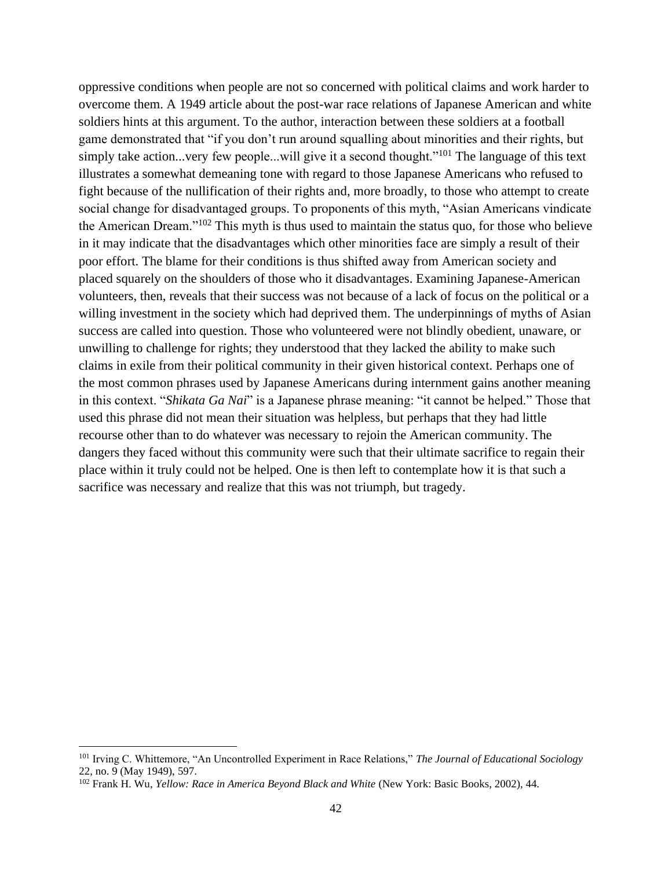oppressive conditions when people are not so concerned with political claims and work harder to overcome them. A 1949 article about the post-war race relations of Japanese American and white soldiers hints at this argument. To the author, interaction between these soldiers at a football game demonstrated that "if you don't run around squalling about minorities and their rights, but simply take action...very few people...will give it a second thought."<sup>101</sup> The language of this text illustrates a somewhat demeaning tone with regard to those Japanese Americans who refused to fight because of the nullification of their rights and, more broadly, to those who attempt to create social change for disadvantaged groups. To proponents of this myth, "Asian Americans vindicate the American Dream."<sup>102</sup> This myth is thus used to maintain the status quo, for those who believe in it may indicate that the disadvantages which other minorities face are simply a result of their poor effort. The blame for their conditions is thus shifted away from American society and placed squarely on the shoulders of those who it disadvantages. Examining Japanese-American volunteers, then, reveals that their success was not because of a lack of focus on the political or a willing investment in the society which had deprived them. The underpinnings of myths of Asian success are called into question. Those who volunteered were not blindly obedient, unaware, or unwilling to challenge for rights; they understood that they lacked the ability to make such claims in exile from their political community in their given historical context. Perhaps one of the most common phrases used by Japanese Americans during internment gains another meaning in this context. "*Shikata Ga Nai*" is a Japanese phrase meaning: "it cannot be helped." Those that used this phrase did not mean their situation was helpless, but perhaps that they had little recourse other than to do whatever was necessary to rejoin the American community. The dangers they faced without this community were such that their ultimate sacrifice to regain their place within it truly could not be helped. One is then left to contemplate how it is that such a sacrifice was necessary and realize that this was not triumph, but tragedy.

<sup>101</sup> Irving C. Whittemore, "An Uncontrolled Experiment in Race Relations," *The Journal of Educational Sociology*  22, no. 9 (May 1949), 597.

<sup>102</sup> Frank H. Wu, *Yellow: Race in America Beyond Black and White* (New York: Basic Books, 2002), 44.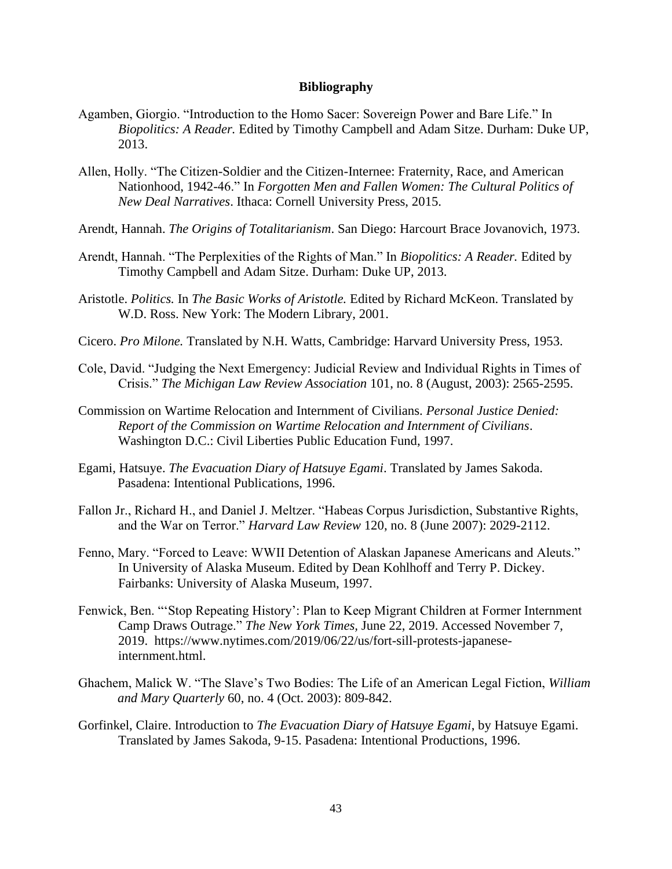#### **Bibliography**

- Agamben, Giorgio. "Introduction to the Homo Sacer: Sovereign Power and Bare Life." In *Biopolitics: A Reader.* Edited by Timothy Campbell and Adam Sitze. Durham: Duke UP, 2013.
- Allen, Holly. "The Citizen-Soldier and the Citizen-Internee: Fraternity, Race, and American Nationhood, 1942-46." In *Forgotten Men and Fallen Women: The Cultural Politics of New Deal Narratives*. Ithaca: Cornell University Press, 2015.
- Arendt, Hannah. *The Origins of Totalitarianism*. San Diego: Harcourt Brace Jovanovich, 1973.
- Arendt, Hannah. "The Perplexities of the Rights of Man." In *Biopolitics: A Reader.* Edited by Timothy Campbell and Adam Sitze. Durham: Duke UP, 2013.
- Aristotle. *Politics.* In *The Basic Works of Aristotle.* Edited by Richard McKeon. Translated by W.D. Ross. New York: The Modern Library, 2001.
- Cicero. *Pro Milone.* Translated by N.H. Watts, Cambridge: Harvard University Press, 1953.
- Cole, David. "Judging the Next Emergency: Judicial Review and Individual Rights in Times of Crisis." *The Michigan Law Review Association* 101, no. 8 (August, 2003): 2565-2595.
- Commission on Wartime Relocation and Internment of Civilians. *Personal Justice Denied: Report of the Commission on Wartime Relocation and Internment of Civilians*. Washington D.C.: Civil Liberties Public Education Fund, 1997.
- Egami, Hatsuye. *The Evacuation Diary of Hatsuye Egami*. Translated by James Sakoda. Pasadena: Intentional Publications, 1996.
- Fallon Jr., Richard H., and Daniel J. Meltzer. "Habeas Corpus Jurisdiction, Substantive Rights, and the War on Terror." *Harvard Law Review* 120, no. 8 (June 2007): 2029-2112.
- Fenno, Mary. "Forced to Leave: WWII Detention of Alaskan Japanese Americans and Aleuts." In University of Alaska Museum. Edited by Dean Kohlhoff and Terry P. Dickey. Fairbanks: University of Alaska Museum, 1997.
- Fenwick, Ben. "'Stop Repeating History': Plan to Keep Migrant Children at Former Internment Camp Draws Outrage." *The New York Times,* June 22, 2019. Accessed November 7, 2019. https://www.nytimes.com/2019/06/22/us/fort-sill-protests-japaneseinternment.html.
- Ghachem, Malick W. "The Slave's Two Bodies: The Life of an American Legal Fiction, *William and Mary Quarterly* 60, no. 4 (Oct. 2003): 809-842.
- Gorfinkel, Claire. Introduction to *The Evacuation Diary of Hatsuye Egami*, by Hatsuye Egami. Translated by James Sakoda, 9-15. Pasadena: Intentional Productions, 1996.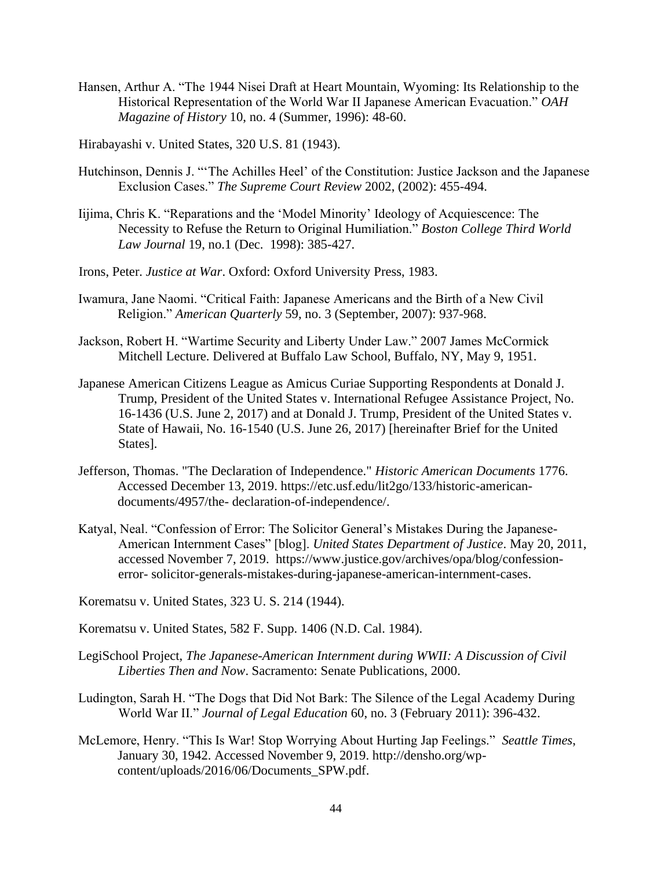Hansen, Arthur A. "The 1944 Nisei Draft at Heart Mountain, Wyoming: Its Relationship to the Historical Representation of the World War II Japanese American Evacuation." *OAH Magazine of History* 10, no. 4 (Summer, 1996): 48-60.

Hirabayashi v. United States, 320 U.S. 81 (1943).

- Hutchinson, Dennis J. "'The Achilles Heel' of the Constitution: Justice Jackson and the Japanese Exclusion Cases." *The Supreme Court Review* 2002, (2002): 455-494.
- Iijima, Chris K. "Reparations and the 'Model Minority' Ideology of Acquiescence: The Necessity to Refuse the Return to Original Humiliation." *Boston College Third World Law Journal* 19, no.1 (Dec. 1998): 385-427.
- Irons, Peter. *Justice at War*. Oxford: Oxford University Press, 1983.
- Iwamura, Jane Naomi. "Critical Faith: Japanese Americans and the Birth of a New Civil Religion." *American Quarterly* 59, no. 3 (September, 2007): 937-968.
- Jackson, Robert H. "Wartime Security and Liberty Under Law." 2007 James McCormick Mitchell Lecture. Delivered at Buffalo Law School, Buffalo, NY, May 9, 1951.
- Japanese American Citizens League as Amicus Curiae Supporting Respondents at Donald J. Trump, President of the United States v. International Refugee Assistance Project, No. 16-1436 (U.S. June 2, 2017) and at Donald J. Trump, President of the United States v. State of Hawaii, No. 16-1540 (U.S. June 26, 2017) [hereinafter Brief for the United States].
- Jefferson, Thomas. "The Declaration of Independence." *Historic American Documents* 1776. Accessed December 13, 2019. https://etc.usf.edu/lit2go/133/historic-americandocuments/4957/the- declaration-of-independence/.
- Katyal, Neal. "Confession of Error: The Solicitor General's Mistakes During the Japanese-American Internment Cases" [blog]. *United States Department of Justice*. May 20, 2011, accessed November 7, 2019. https://www.justice.gov/archives/opa/blog/confessionerror- solicitor-generals-mistakes-during-japanese-american-internment-cases.

Korematsu v. United States*,* 323 U. S. 214 (1944).

Korematsu v. United States, 582 F. Supp. 1406 (N.D. Cal. 1984).

- LegiSchool Project, *The Japanese-American Internment during WWII: A Discussion of Civil Liberties Then and Now*. Sacramento: Senate Publications, 2000.
- Ludington, Sarah H. "The Dogs that Did Not Bark: The Silence of the Legal Academy During World War II." *Journal of Legal Education* 60, no. 3 (February 2011): 396-432.
- McLemore, Henry. "This Is War! Stop Worrying About Hurting Jap Feelings." *Seattle Times*, January 30, 1942. Accessed November 9, 2019. http://densho.org/wpcontent/uploads/2016/06/Documents\_SPW.pdf.